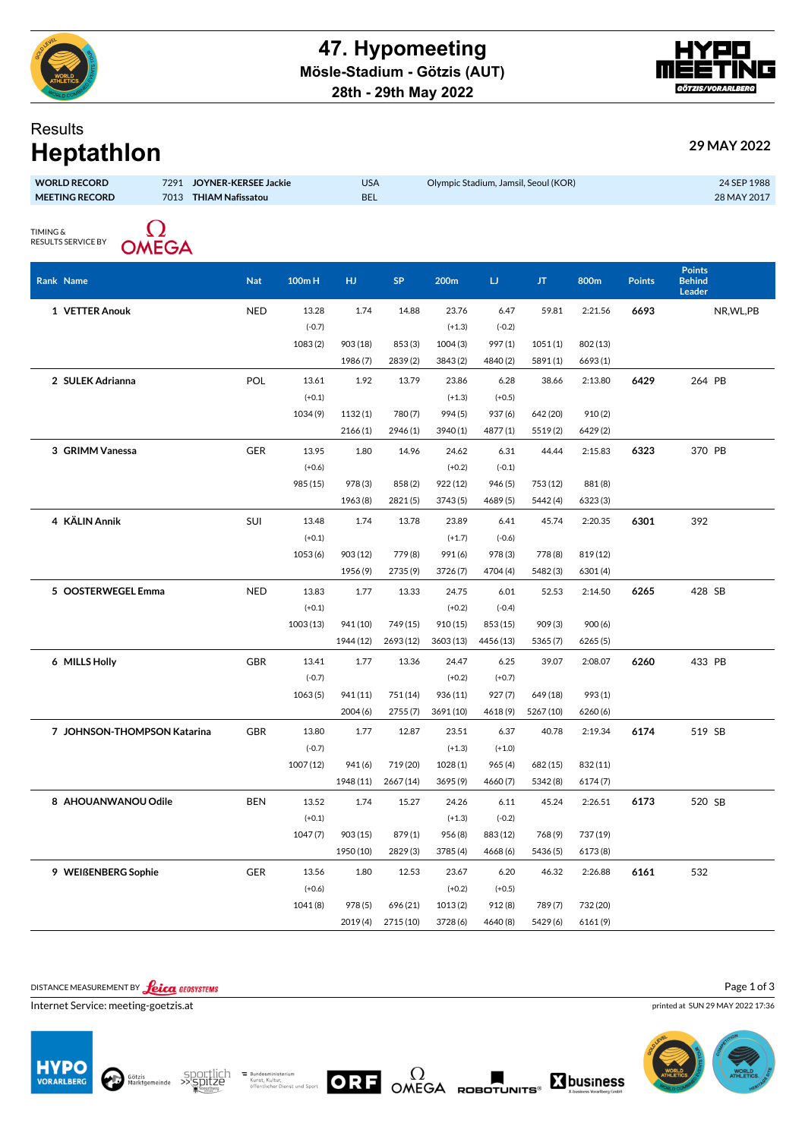



## **Results**

| 29 MAY 2022 |  |
|-------------|--|
|             |  |

| <b>Heptathlon</b>                                                                                     |  |                        |          |                                                                  |           |           |           | 29 MAY 2022 |          |                            |                                          |
|-------------------------------------------------------------------------------------------------------|--|------------------------|----------|------------------------------------------------------------------|-----------|-----------|-----------|-------------|----------|----------------------------|------------------------------------------|
| <b>WORLD RECORD</b><br>7291<br>JOYNER-KERSEE Jackie<br><b>MEETING RECORD</b><br>7013 THIAM Nafissatou |  |                        |          | <b>USA</b><br>Olympic Stadium, Jamsil, Seoul (KOR)<br><b>BEL</b> |           |           |           |             |          | 24 SEP 1988<br>28 MAY 2017 |                                          |
| <b>TIMING &amp;</b><br>RESULTS SERVICE BY<br><b>OMEGA</b>                                             |  |                        |          |                                                                  |           |           |           |             |          |                            |                                          |
| Rank Name                                                                                             |  | <b>Nat</b><br>$100m$ H |          | HJ.                                                              | <b>SP</b> | 200m      | IJ        | JT          | 800m     | <b>Points</b>              | <b>Points</b><br><b>Behind</b><br>Leader |
| 1 VETTER Anouk                                                                                        |  | <b>NED</b>             | 13.28    | 1.74                                                             | 14.88     | 23.76     | 6.47      | 59.81       | 2:21.56  | 6693                       | NR, WL, PB                               |
|                                                                                                       |  |                        | $(-0.7)$ |                                                                  |           | $(+1.3)$  | $(-0.2)$  |             |          |                            |                                          |
|                                                                                                       |  |                        | 1083(2)  | 903 (18)                                                         | 853(3)    | 1004(3)   | 997(1)    | 1051(1)     | 802 (13) |                            |                                          |
|                                                                                                       |  |                        |          | 1986(7)                                                          | 2839(2)   | 3843 (2)  | 4840 (2)  | 5891(1)     | 6693(1)  |                            |                                          |
| 2 SULEK Adrianna                                                                                      |  | POL                    | 13.61    | 1.92                                                             | 13.79     | 23.86     | 6.28      | 38.66       | 2:13.80  | 6429                       | 264 PB                                   |
|                                                                                                       |  |                        | $(+0.1)$ |                                                                  |           | $(+1.3)$  | $(+0.5)$  |             |          |                            |                                          |
|                                                                                                       |  |                        | 1034 (9) | 1132(1)                                                          | 780(7)    | 994 (5)   | 937(6)    | 642 (20)    | 910(2)   |                            |                                          |
|                                                                                                       |  |                        |          | 2166(1)                                                          | 2946 (1)  | 3940 (1)  | 4877(1)   | 5519(2)     | 6429(2)  |                            |                                          |
| 3 GRIMM Vanessa                                                                                       |  | <b>GER</b>             | 13.95    | 1.80                                                             | 14.96     | 24.62     | 6.31      | 44.44       | 2:15.83  | 6323                       | 370 PB                                   |
|                                                                                                       |  |                        | $(+0.6)$ |                                                                  |           | $(+0.2)$  | $(-0.1)$  |             |          |                            |                                          |
|                                                                                                       |  |                        | 985 (15) | 978 (3)                                                          | 858(2)    | 922 (12)  | 946 (5)   | 753 (12)    | 881 (8)  |                            |                                          |
|                                                                                                       |  |                        |          | 1963 (8)                                                         | 2821(5)   | 3743 (5)  | 4689(5)   | 5442 (4)    | 6323(3)  |                            |                                          |
| 4 KÄLIN Annik                                                                                         |  | SUI                    | 13.48    | 1.74                                                             | 13.78     | 23.89     | 6.41      | 45.74       | 2:20.35  | 6301                       | 392                                      |
|                                                                                                       |  |                        | $(+0.1)$ |                                                                  |           | $(+1.7)$  | $(-0.6)$  |             |          |                            |                                          |
|                                                                                                       |  |                        | 1053 (6) | 903 (12)                                                         | 779(8)    | 991 (6)   | 978 (3)   | 778 (8)     | 819 (12) |                            |                                          |
|                                                                                                       |  |                        |          | 1956 (9)                                                         | 2735(9)   | 3726 (7)  | 4704 (4)  | 5482(3)     | 6301 (4) |                            |                                          |
| 5 OOSTERWEGEL Emma                                                                                    |  | <b>NED</b>             | 13.83    | 1.77                                                             | 13.33     | 24.75     | 6.01      | 52.53       | 2:14.50  | 6265                       | 428 SB                                   |
|                                                                                                       |  |                        | $(+0.1)$ |                                                                  |           | $(+0.2)$  | $(-0.4)$  |             |          |                            |                                          |
|                                                                                                       |  | 1003(13)               |          | 941 (10)                                                         | 749 (15)  | 910 (15)  | 853 (15)  | 909(3)      | 900(6)   |                            |                                          |
|                                                                                                       |  |                        |          | 1944 (12)                                                        | 2693 (12) | 3603 (13) | 4456 (13) | 5365 (7)    | 6265(5)  |                            |                                          |
| 6 MILLS Holly                                                                                         |  | <b>GBR</b>             | 13.41    | 1.77                                                             | 13.36     | 24.47     | 6.25      | 39.07       | 2:08.07  | 6260                       | 433 PB                                   |
|                                                                                                       |  |                        | $(-0.7)$ |                                                                  |           | $(+0.2)$  | $(+0.7)$  |             |          |                            |                                          |
|                                                                                                       |  |                        | 1063(5)  | 941 (11)                                                         | 751 (14)  | 936 (11)  | 927(7)    | 649 (18)    | 993 (1)  |                            |                                          |
|                                                                                                       |  |                        |          | 2004(6)                                                          | 2755(7)   | 3691 (10) | 4618(9)   | 5267 (10)   | 6260(6)  |                            |                                          |
| 7 JOHNSON-THOMPSON Katarina                                                                           |  | <b>GBR</b>             | 13.80    | 1.77                                                             | 12.87     | 23.51     | 6.37      | 40.78       | 2:19.34  | 6174                       | 519 SB                                   |
|                                                                                                       |  |                        | $(-0.7)$ |                                                                  |           | $(+1.3)$  | $(+1.0)$  |             |          |                            |                                          |
|                                                                                                       |  |                        | 1007(12) | 941 (6)                                                          | 719 (20)  | 1028 (1)  | 965(4)    | 682 (15)    | 832 (11) |                            |                                          |
|                                                                                                       |  |                        |          | 1948 (11)                                                        | 2667 (14) | 3695 (9)  | 4660(7)   | 5342 (8)    | 6174(7)  |                            |                                          |
| 8 AHOUANWANOU Odile                                                                                   |  | <b>BEN</b>             | 13.52    | 1.74                                                             | 15.27     | 24.26     | 6.11      | 45.24       | 2:26.51  | 6173                       | 520 SB                                   |
|                                                                                                       |  |                        | $(+0.1)$ |                                                                  |           | $(+1.3)$  | $(-0.2)$  |             |          |                            |                                          |
|                                                                                                       |  |                        | 1047 (7) | 903 (15)                                                         | 879(1)    | 956 (8)   | 883 (12)  | 768 (9)     | 737 (19) |                            |                                          |
|                                                                                                       |  |                        |          | 1950 (10)                                                        | 2829(3)   | 3785 (4)  | 4668 (6)  | 5436 (5)    | 6173 (8) |                            |                                          |

DISTANCE MEASUREMENT BY **Leica** GEOSYSTEMS

Internet Service: meeting-goetzis.at





Bundesministerium<br>Kunst, Kultur,<br>öffentlicher Dienst und Sport

**9 WEIßENBERG Sophie** GER 13.56 1.80 12.53 23.67 6.20 46.32 2:26.88

(+0.6) (+0.2) (+0.5)

1041 (8) 978 (5) 696 (21) 1013 (2) 912 (8) 789 (7) 732 (20)

2019 (4) 2715 (10) 3728 (6) 4640 (8) 5429 (6) 6161 (9)

ORF OMEGA ROBOTUNITS®

 $\Sigma$ business

Page 1 of 3

printed at SUN 29 MAY 2022 17:36

**6161** 532

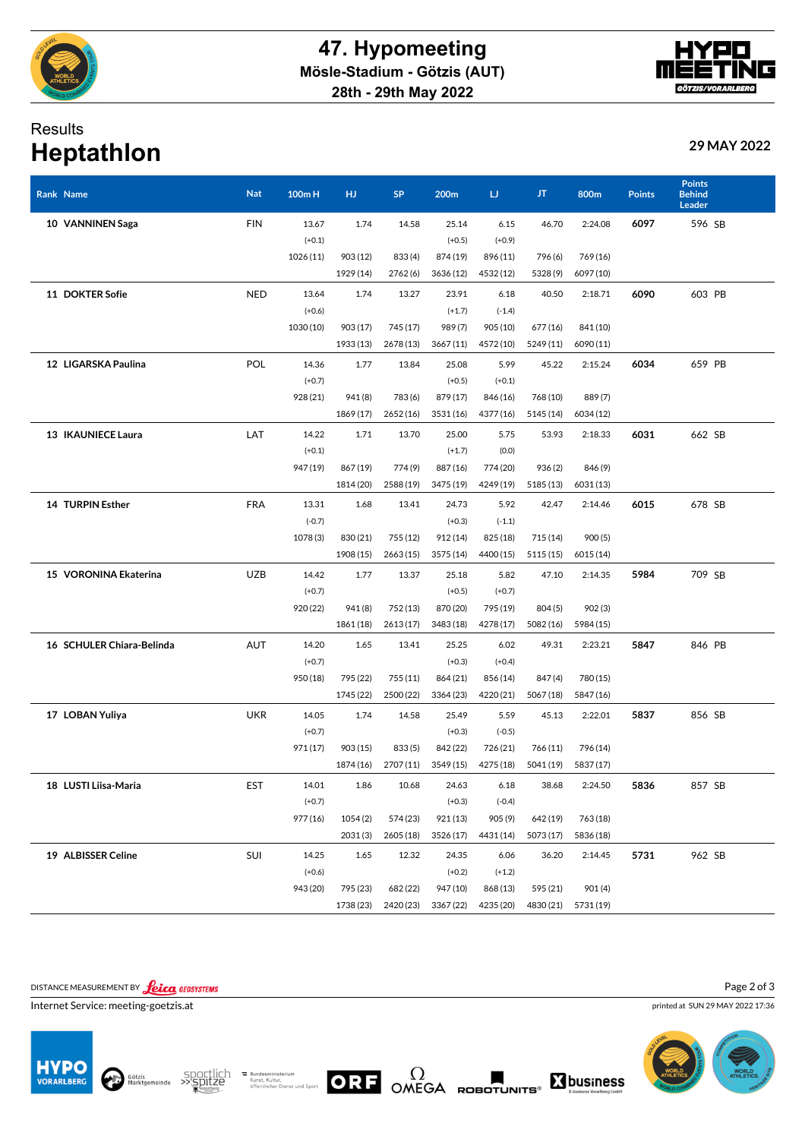

## Results **Heptathlon 29 MAY 2022**

| Rank Name                 | <b>Nat</b> | 100mH     | HJ        | <b>SP</b> | 200m      | IJ        | JT.       | 800m      | <b>Points</b> | <b>Points</b><br><b>Behind</b><br>Leader |  |
|---------------------------|------------|-----------|-----------|-----------|-----------|-----------|-----------|-----------|---------------|------------------------------------------|--|
| 10 VANNINEN Saga          | <b>FIN</b> | 13.67     | 1.74      | 14.58     | 25.14     | 6.15      | 46.70     | 2:24.08   | 6097          | 596 SB                                   |  |
|                           |            | $(+0.1)$  |           |           | $(+0.5)$  | $(+0.9)$  |           |           |               |                                          |  |
|                           |            | 1026 (11) | 903 (12)  | 833 (4)   | 874 (19)  | 896 (11)  | 796 (6)   | 769 (16)  |               |                                          |  |
|                           |            |           | 1929 (14) | 2762(6)   | 3636 (12) | 4532 (12) | 5328 (9)  | 6097 (10) |               |                                          |  |
| 11 DOKTER Sofie           | <b>NED</b> | 13.64     | 1.74      | 13.27     | 23.91     | 6.18      | 40.50     | 2:18.71   | 6090          | 603 PB                                   |  |
|                           |            | $(+0.6)$  |           |           | $(+1.7)$  | $(-1.4)$  |           |           |               |                                          |  |
|                           |            | 1030 (10) | 903 (17)  | 745 (17)  | 989(7)    | 905 (10)  | 677(16)   | 841 (10)  |               |                                          |  |
|                           |            |           | 1933 (13) | 2678 (13) | 3667 (11) | 4572 (10) | 5249 (11) | 6090 (11) |               |                                          |  |
| 12 LIGARSKA Paulina       | POL        | 14.36     | 1.77      | 13.84     | 25.08     | 5.99      | 45.22     | 2:15.24   | 6034          | 659 PB                                   |  |
|                           |            | $(+0.7)$  |           |           | $(+0.5)$  | $(+0.1)$  |           |           |               |                                          |  |
|                           |            | 928 (21)  | 941 (8)   | 783 (6)   | 879 (17)  | 846 (16)  | 768 (10)  | 889(7)    |               |                                          |  |
|                           |            |           | 1869 (17) | 2652 (16) | 3531 (16) | 4377 (16) | 5145 (14) | 6034 (12) |               |                                          |  |
| 13 IKAUNIECE Laura        | LAT        | 14.22     | 1.71      | 13.70     | 25.00     | 5.75      | 53.93     | 2:18.33   | 6031          | 662 SB                                   |  |
|                           |            | $(+0.1)$  |           |           | $(+1.7)$  | (0.0)     |           |           |               |                                          |  |
|                           |            | 947 (19)  | 867 (19)  | 774(9)    | 887 (16)  | 774 (20)  | 936(2)    | 846 (9)   |               |                                          |  |
|                           |            |           | 1814 (20) | 2588 (19) | 3475 (19) | 4249 (19) | 5185 (13) | 6031 (13) |               |                                          |  |
| 14 TURPIN Esther          | <b>FRA</b> | 13.31     | 1.68      | 13.41     | 24.73     | 5.92      | 42.47     | 2:14.46   | 6015          | 678 SB                                   |  |
|                           |            | $(-0.7)$  |           |           | $(+0.3)$  | $(-1.1)$  |           |           |               |                                          |  |
|                           |            | 1078 (3)  | 830 (21)  | 755 (12)  | 912 (14)  | 825 (18)  | 715(14)   | 900(5)    |               |                                          |  |
|                           |            |           | 1908 (15) | 2663 (15) | 3575 (14) | 4400 (15) | 5115 (15) | 6015 (14) |               |                                          |  |
| 15 VORONINA Ekaterina     | <b>UZB</b> | 14.42     | 1.77      | 13.37     | 25.18     | 5.82      | 47.10     | 2:14.35   | 5984          | 709 SB                                   |  |
|                           |            | $(+0.7)$  |           |           | $(+0.5)$  | $(+0.7)$  |           |           |               |                                          |  |
|                           |            | 920 (22)  | 941 (8)   | 752 (13)  | 870 (20)  | 795 (19)  | 804(5)    | 902(3)    |               |                                          |  |
|                           |            |           | 1861 (18) | 2613 (17) | 3483 (18) | 4278 (17) | 5082(16)  | 5984 (15) |               |                                          |  |
| 16 SCHULER Chiara-Belinda | <b>AUT</b> | 14.20     | 1.65      | 13.41     | 25.25     | 6.02      | 49.31     | 2:23.21   | 5847          | 846 PB                                   |  |
|                           |            | $(+0.7)$  |           |           | $(+0.3)$  | $(+0.4)$  |           |           |               |                                          |  |
|                           |            | 950 (18)  | 795 (22)  | 755(11)   | 864 (21)  | 856 (14)  | 847 (4)   | 780 (15)  |               |                                          |  |
|                           |            |           | 1745 (22) | 2500 (22) | 3364 (23) | 4220 (21) | 5067 (18) | 5847 (16) |               |                                          |  |
| 17 LOBAN Yuliya           | <b>UKR</b> | 14.05     | 1.74      | 14.58     | 25.49     | 5.59      | 45.13     | 2:22.01   | 5837          | 856 SB                                   |  |
|                           |            | $(+0.7)$  |           |           | $(+0.3)$  | $(-0.5)$  |           |           |               |                                          |  |
|                           |            | 971 (17)  | 903(15)   | 833(5)    | 842 (22)  | 726 (21)  | 766 (11)  | 796 (14)  |               |                                          |  |
|                           |            |           | 1874 (16) | 2707 (11) | 3549 (15) | 4275 (18) | 5041 (19) | 5837 (17) |               |                                          |  |
| 18 LUSTI Liisa-Maria      | EST        | 14.01     | 1.86      | 10.68     | 24.63     | 6.18      | 38.68     | 2:24.50   | 5836          | 857 SB                                   |  |
|                           |            | $(+0.7)$  |           |           | $(+0.3)$  | $(-0.4)$  |           |           |               |                                          |  |
|                           |            | 977 (16)  | 1054 (2)  | 574 (23)  | 921 (13)  | 905 (9)   | 642 (19)  | 763 (18)  |               |                                          |  |
|                           |            |           | 2031(3)   | 2605(18)  | 3526 (17) | 4431 (14) | 5073 (17) | 5836 (18) |               |                                          |  |
| 19 ALBISSER Celine        | SUI        | 14.25     | 1.65      | 12.32     | 24.35     | 6.06      | 36.20     | 2:14.45   | 5731          | 962 SB                                   |  |
|                           |            | $(+0.6)$  |           |           | $(+0.2)$  | $(+1.2)$  |           |           |               |                                          |  |
|                           |            | 943 (20)  | 795 (23)  | 682 (22)  | 947 (10)  | 868 (13)  | 595 (21)  | 901 (4)   |               |                                          |  |
|                           |            |           | 1738 (23) | 2420 (23) | 3367 (22) | 4235 (20) | 4830 (21) | 5731 (19) |               |                                          |  |
|                           |            |           |           |           |           |           |           |           |               |                                          |  |

DISTANCE MEASUREMENT BY **Leica** GEOSYSTEMS

Internet Service: meeting-goetzis.at













printed at SUN 29 MAY 2022 17:36 Page 2 of 3